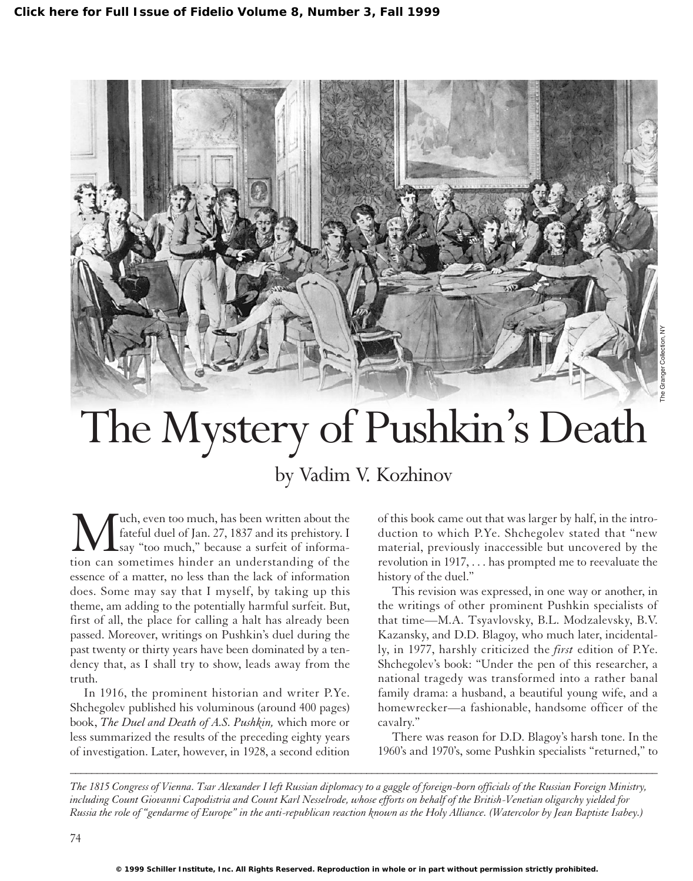

## The Mystery of Pushkin's Death

## by Vadim V. Kozhinov

Wech, even too much, has been written about the<br>fateful duel of Jan. 27, 1837 and its prehistory. I<br>say "too much," because a surfeit of informa-<br>tion can sometimes hinder an understanding of the fateful duel of Jan. 27, 1837 and its prehistory. I say "too much," because a surfeit of information can sometimes hinder an understanding of the essence of a matter, no less than the lack of information does. Some may say that I myself, by taking up this theme, am adding to the potentially harmful surfeit. But, first of all, the place for calling a halt has already been passed. Moreover, writings on Pushkin's duel during the past twenty or thirty years have been dominated by a tendency that, as I shall try to show, leads away from the truth.

In 1916, the prominent historian and writer P.Ye. Shchegolev published his voluminous (around 400 pages) book, *The Duel and Death of A.S. Pushkin,* which more or less summarized the results of the preceding eighty years of investigation. Later, however, in 1928, a second edition of this book came out that was larger by half, in the introduction to which P.Ye. Shchegolev stated that "new material, previously inaccessible but uncovered by the revolution in 1917, . . . has prompted me to reevaluate the history of the duel."

This revision was expressed, in one way or another, in the writings of other prominent Pushkin specialists of that time—M.A. Tsyavlovsky, B.L. Modzalevsky, B.V. Kazansky, and D.D. Blagoy, who much later, incidentally, in 1977, harshly criticized the *first* edition of P.Ye. Shchegolev's book: "Under the pen of this researcher, a national tragedy was transformed into a rather banal family drama: a husband, a beautiful young wife, and a homewrecker—a fashionable, handsome officer of the cavalry."

There was reason for D.D. Blagoy's harsh tone. In the 1960's and 1970's, some Pushkin specialists "returned," to

*The 1815 Congress of Vienna. Tsar Alexander I left Russian diplomacy to a gaggle of foreign-born officials of the Russian Foreign Ministry, including Count Giovanni Capodistria and Count Karl Nesselrode, whose efforts on behalf of the British-Venetian oligarchy yielded for Russia the role of "gendarme of Europe" in the anti-republican reaction known as the Holy Alliance. (Watercolor by Jean Baptiste Isabey.)*

*\_\_\_\_\_\_\_\_\_\_\_\_\_\_\_\_\_\_\_\_\_\_\_\_\_\_\_\_\_\_\_\_\_\_\_\_\_\_\_\_\_\_\_\_\_\_\_\_\_\_\_\_\_\_\_\_\_\_\_\_\_\_\_\_\_\_\_\_\_\_\_\_\_\_\_\_\_\_\_\_\_\_\_\_\_\_\_\_\_\_\_\_\_\_\_\_\_\_\_\_\_\_\_\_\_\_\_\_\_*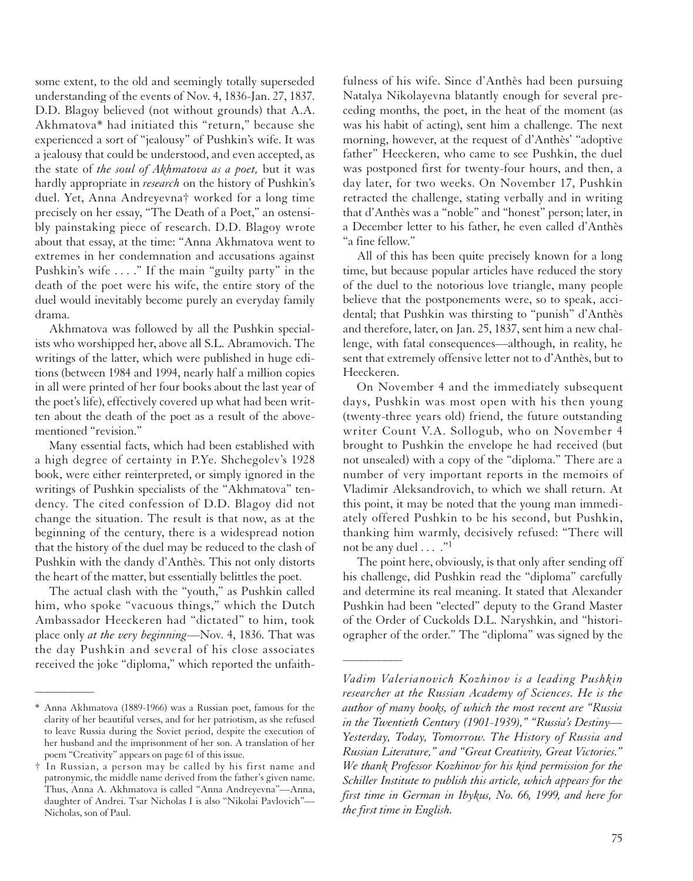some extent, to the old and seemingly totally superseded understanding of the events of Nov. 4, 1836-Jan. 27, 1837. D.D. Blagoy believed (not without grounds) that A.A. Akhmatova\* had initiated this "return," because she experienced a sort of "jealousy" of Pushkin's wife. It was a jealousy that could be understood, and even accepted, as the state of *the soul of Akhmatova as a poet,* but it was hardly appropriate in *research* on the history of Pushkin's duel. Yet, Anna Andreyevna† worked for a long time precisely on her essay, "The Death of a Poet," an ostensibly painstaking piece of research. D.D. Blagoy wrote about that essay, at the time: "Anna Akhmatova went to extremes in her condemnation and accusations against Pushkin's wife . . . ." If the main "guilty party" in the death of the poet were his wife, the entire story of the duel would inevitably become purely an everyday family drama.

Akhmatova was followed by all the Pushkin specialists who worshipped her, above all S.L. Abramovich. The writings of the latter, which were published in huge editions (between 1984 and 1994, nearly half a million copies in all were printed of her four books about the last year of the poet's life), effectively covered up what had been written about the death of the poet as a result of the abovementioned "revision."

Many essential facts, which had been established with a high degree of certainty in P.Ye. Shchegolev's 1928 book, were either reinterpreted, or simply ignored in the writings of Pushkin specialists of the "Akhmatova" tendency. The cited confession of D.D. Blagoy did not change the situation. The result is that now, as at the beginning of the century, there is a widespread notion that the history of the duel may be reduced to the clash of Pushkin with the dandy d'Anthès. This not only distorts the heart of the matter, but essentially belittles the poet.

The actual clash with the "youth," as Pushkin called him, who spoke "vacuous things," which the Dutch Ambassador Heeckeren had "dictated" to him, took place only *at the very beginning*—Nov. 4, 1836. That was the day Pushkin and several of his close associates received the joke "diploma," which reported the unfaith-

––––––––––

fulness of his wife. Since d'Anthès had been pursuing Natalya Nikolayevna blatantly enough for several preceding months, the poet, in the heat of the moment (as was his habit of acting), sent him a challenge. The next morning, however, at the request of d'Anthès' "adoptive father" Heeckeren, who came to see Pushkin, the duel was postponed first for twenty-four hours, and then, a day later, for two weeks. On November 17, Pushkin retracted the challenge, stating verbally and in writing that d'Anthès was a "noble" and "honest" person; later, in a December letter to his father, he even called d'Anthès "a fine fellow."

All of this has been quite precisely known for a long time, but because popular articles have reduced the story of the duel to the notorious love triangle, many people believe that the postponements were, so to speak, accidental; that Pushkin was thirsting to "punish" d'Anthès and therefore, later, on Jan. 25, 1837, sent him a new challenge, with fatal consequences—although, in reality, he sent that extremely offensive letter not to d'Anthès, but to Heeckeren.

On November 4 and the immediately subsequent days, Pushkin was most open with his then young (twenty-three years old) friend, the future outstanding writer Count V.A. Sollogub, who on November 4 brought to Pushkin the envelope he had received (but not unsealed) with a copy of the "diploma." There are a number of very important reports in the memoirs of Vladimir Aleksandrovich, to which we shall return. At this point, it may be noted that the young man immediately offered Pushkin to be his second, but Pushkin, thanking him warmly, decisively refused: "There will not be any duel . . . . "<sup>1</sup>

The point here, obviously, is that only after sending off his challenge, did Pushkin read the "diploma" carefully and determine its real meaning. It stated that Alexander Pushkin had been "elected" deputy to the Grand Master of the Order of Cuckolds D.L. Naryshkin, and "historiographer of the order." The "diploma" was signed by the

––––––––––

<sup>\*</sup> Anna Akhmatova (1889-1966) was a Russian poet, famous for the clarity of her beautiful verses, and for her patriotism, as she refused to leave Russia during the Soviet period, despite the execution of her husband and the imprisonment of her son. A translation of her poem "Creativity" appears on page 61 of this issue.

<sup>†</sup> In Russian, a person may be called by his first name and patronymic, the middle name derived from the father's given name. Thus, Anna A. Akhmatova is called "Anna Andreyevna"—Anna, daughter of Andrei. Tsar Nicholas I is also "Nikolai Pavlovich"— Nicholas, son of Paul.

*Vadim Valerianovich Kozhinov is a leading Pushkin researcher at the Russian Academy of Sciences. He is the author of many books, of which the most recent are "Russia in the Twentieth Century (1901-1939)," "Russia's Destiny— Yesterday, Today, Tomorrow. The History of Russia and Russian Literature," and "Great Creativity, Great Victories." We thank Professor Kozhinov for his kind permission for the Schiller Institute to publish this article, which appears for the first time in German in Ibykus, No. 66, 1999, and here for the first time in English.*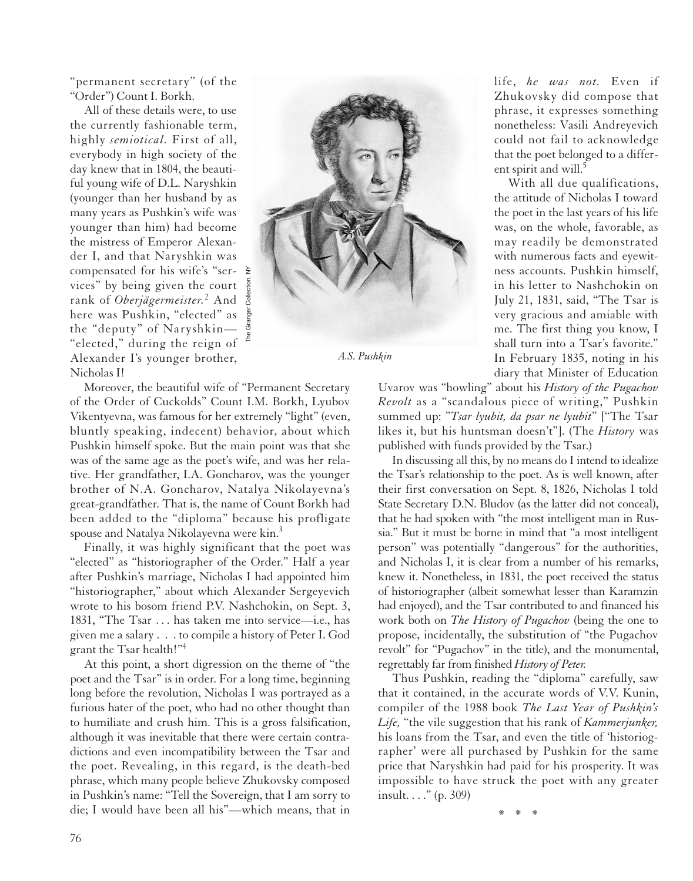"permanent secretary" (of the "Order") Count I. Borkh.

All of these details were, to use the currently fashionable term, highly *semiotical.* First of all, everybody in high society of the day knew that in 1804, the beautiful young wife of D.L. Naryshkin (younger than her husband by as many years as Pushkin's wife was younger than him) had become the mistress of Emperor Alexander I, and that Naryshkin was compensated for his wife's "services" by being given the court  $\frac{5}{8}$ rank of *Oberjägermeister.*<sup>2</sup> And here was Pushkin, "elected" as the "deputy" of Naryshkin— "elected," during the reign of Alexander I's younger brother, Nicholas I!



*A.S. Pushkin*

Moreover, the beautiful wife of "Permanent Secretary of the Order of Cuckolds" Count I.M. Borkh, Lyubov Vikentyevna, was famous for her extremely "light" (even, bluntly speaking, indecent) behavior, about which Pushkin himself spoke. But the main point was that she was of the same age as the poet's wife, and was her relative. Her grandfather, I.A. Goncharov, was the younger brother of N.A. Goncharov, Natalya Nikolayevna's great-grandfather. That is, the name of Count Borkh had been added to the "diploma" because his profligate spouse and Natalya Nikolayevna were kin.3

Finally, it was highly significant that the poet was "elected" as "historiographer of the Order." Half a year after Pushkin's marriage, Nicholas I had appointed him "historiographer," about which Alexander Sergeyevich wrote to his bosom friend P.V. Nashchokin, on Sept. 3, 1831, "The Tsar . . . has taken me into service—i.e., has given me a salary . . . to compile a history of Peter I. God grant the Tsar health!"4

At this point, a short digression on the theme of "the poet and the Tsar" is in order. For a long time, beginning long before the revolution, Nicholas I was portrayed as a furious hater of the poet, who had no other thought than to humiliate and crush him. This is a gross falsification, although it was inevitable that there were certain contradictions and even incompatibility between the Tsar and the poet. Revealing, in this regard, is the death-bed phrase, which many people believe Zhukovsky composed in Pushkin's name: "Tell the Sovereign, that I am sorry to die; I would have been all his"—which means, that in

life, *he was not.* Even if Zhukovsky did compose that phrase, it expresses something nonetheless: Vasili Andreyevich could not fail to acknowledge that the poet belonged to a different spirit and will.<sup>5</sup>

With all due qualifications, the attitude of Nicholas I toward the poet in the last years of his life was, on the whole, favorable, as may readily be demonstrated with numerous facts and eyewitness accounts. Pushkin himself, in his letter to Nashchokin on July 21, 1831, said, "The Tsar is very gracious and amiable with me. The first thing you know, I shall turn into a Tsar's favorite." In February 1835, noting in his diary that Minister of Education

Uvarov was "howling" about his *History of the Pugachov Revolt* as a "scandalous piece of writing," Pushkin summed up: "*Tsar lyubit, da psar ne lyubit*" ["The Tsar likes it, but his huntsman doesn't"]. (The *History* was published with funds provided by the Tsar.)

In discussing all this, by no means do I intend to idealize the Tsar's relationship to the poet. As is well known, after their first conversation on Sept. 8, 1826, Nicholas I told State Secretary D.N. Bludov (as the latter did not conceal), that he had spoken with "the most intelligent man in Russia." But it must be borne in mind that "a most intelligent person" was potentially "dangerous" for the authorities, and Nicholas I, it is clear from a number of his remarks, knew it. Nonetheless, in 1831, the poet received the status of historiographer (albeit somewhat lesser than Karamzin had enjoyed), and the Tsar contributed to and financed his work both on *The History of Pugachov* (being the one to propose, incidentally, the substitution of "the Pugachov revolt" for "Pugachov" in the title), and the monumental, regrettably far from finished *History of Peter.*

Thus Pushkin, reading the "diploma" carefully, saw that it contained, in the accurate words of V.V. Kunin, compiler of the 1988 book *The Last Year of Pushkin's Life,* "the vile suggestion that his rank of *Kammerjunker,* his loans from the Tsar, and even the title of 'historiographer' were all purchased by Pushkin for the same price that Naryshkin had paid for his prosperity. It was impossible to have struck the poet with any greater insult. . . ." (p. 309)

\*\*\*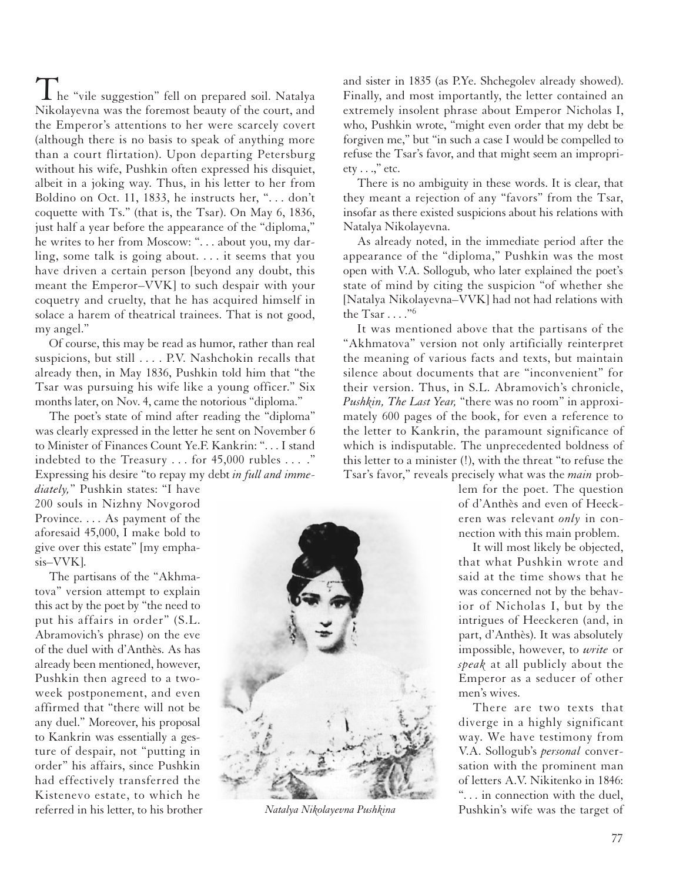I he "vile suggestion" fell on prepared soil. Natalya Nikolayevna was the foremost beauty of the court, and the Emperor's attentions to her were scarcely covert (although there is no basis to speak of anything more than a court flirtation). Upon departing Petersburg without his wife, Pushkin often expressed his disquiet, albeit in a joking way. Thus, in his letter to her from Boldino on Oct. 11, 1833, he instructs her, ". . . don't coquette with Ts." (that is, the Tsar). On May 6, 1836, just half a year before the appearance of the "diploma," he writes to her from Moscow: ". . . about you, my darling, some talk is going about. . . . it seems that you have driven a certain person [beyond any doubt, this meant the Emperor–VVK] to such despair with your coquetry and cruelty, that he has acquired himself in solace a harem of theatrical trainees. That is not good, my angel."

Of course, this may be read as humor, rather than real suspicions, but still . . . . P.V. Nashchokin recalls that already then, in May 1836, Pushkin told him that "the Tsar was pursuing his wife like a young officer." Six months later, on Nov. 4, came the notorious "diploma."

The poet's state of mind after reading the "diploma" was clearly expressed in the letter he sent on November 6 to Minister of Finances Count Ye.F. Kankrin: ". ..I stand indebted to the Treasury . . . for 45,000 rubles . . . ." Expressing his desire "to repay my debt *in full and imme-*

*diately,*" Pushkin states: "I have 200 souls in Nizhny Novgorod Province. . . . As payment of the aforesaid 45,000, I make bold to give over this estate" [my emphasis–VVK].

The partisans of the "Akhmatova" version attempt to explain this act by the poet by "the need to put his affairs in order" (S.L. Abramovich's phrase) on the eve of the duel with d'Anthès. As has already been mentioned, however, Pushkin then agreed to a twoweek postponement, and even affirmed that "there will not be any duel." Moreover, his proposal to Kankrin was essentially a gesture of despair, not "putting in order" his affairs, since Pushkin had effectively transferred the Kistenevo estate, to which he referred in his letter, to his brother

and sister in 1835 (as P.Ye. Shchegolev already showed). Finally, and most importantly, the letter contained an extremely insolent phrase about Emperor Nicholas I, who, Pushkin wrote, "might even order that my debt be forgiven me," but "in such a case I would be compelled to refuse the Tsar's favor, and that might seem an impropri $ety \ldots$ ," etc.

There is no ambiguity in these words. It is clear, that they meant a rejection of any "favors" from the Tsar, insofar as there existed suspicions about his relations with Natalya Nikolayevna.

As already noted, in the immediate period after the appearance of the "diploma," Pushkin was the most open with V.A. Sollogub, who later explained the poet's state of mind by citing the suspicion "of whether she [Natalya Nikolayevna–VVK] had not had relations with the Tsar  $\dots$ ."<sup>6</sup>

It was mentioned above that the partisans of the "Akhmatova" version not only artificially reinterpret the meaning of various facts and texts, but maintain silence about documents that are "inconvenient" for their version. Thus, in S.L. Abramovich's chronicle, *Pushkin, The Last Year,* "there was no room" in approximately 600 pages of the book, for even a reference to the letter to Kankrin, the paramount significance of which is indisputable. The unprecedented boldness of this letter to a minister (!), with the threat "to refuse the Tsar's favor," reveals precisely what was the *main* prob-

> lem for the poet. The question of d'Anthès and even of Heeckeren was relevant *only* in connection with this main problem.

> It will most likely be objected, that what Pushkin wrote and said at the time shows that he was concerned not by the behavior of Nicholas I, but by the intrigues of Heeckeren (and, in part, d'Anthès). It was absolutely impossible, however, to *write* or *speak* at all publicly about the Emperor as a seducer of other men's wives.

There are two texts that diverge in a highly significant way. We have testimony from V.A. Sollogub's *personal* conversation with the prominent man of letters A.V. Nikitenko in 1846: ". . . in connection with the duel, *Natalya Nikolayevna Pushkina* Pushkin's wife was the target of

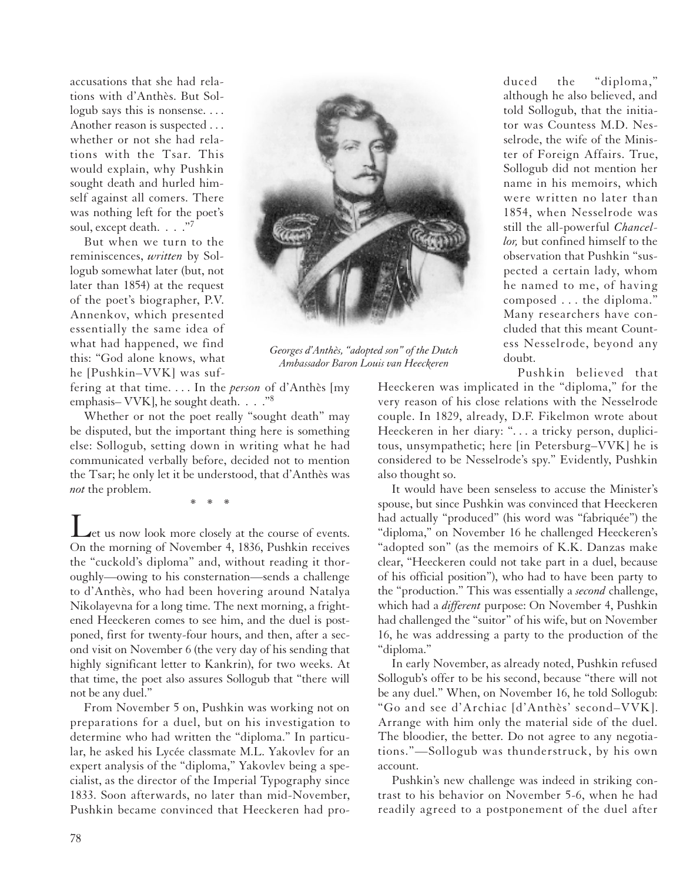accusations that she had relations with d'Anthès. But Sollogub says this is nonsense.... Another reason is suspected . . . whether or not she had relations with the Tsar. This would explain, why Pushkin sought death and hurled himself against all comers. There was nothing left for the poet's soul, except death. . . . "7

But when we turn to the reminiscences, *written* by Sollogub somewhat later (but, not later than 1854) at the request of the poet's biographer, P.V. Annenkov, which presented essentially the same idea of what had happened, we find this: "God alone knows, what he [Pushkin–VVK] was suf-



*Georges d'Anthès, "adopted son" of the Dutch Ambassador Baron Louis van Heeckeren*

fering at that time. . . . In the *person* of d'Anthès [my emphasis– VVK], he sought death. . . . "<sup>8</sup>

Whether or not the poet really "sought death" may be disputed, but the important thing here is something else: Sollogub, setting down in writing what he had communicated verbally before, decided not to mention the Tsar; he only let it be understood, that d'Anthès was *not* the problem.

\*\*\*

Let us now look more closely at the course of events. On the morning of November 4, 1836, Pushkin receives the "cuckold's diploma" and, without reading it thoroughly—owing to his consternation—sends a challenge to d'Anthès, who had been hovering around Natalya Nikolayevna for a long time. The next morning, a frightened Heeckeren comes to see him, and the duel is postponed, first for twenty-four hours, and then, after a second visit on November 6 (the very day of his sending that highly significant letter to Kankrin), for two weeks. At that time, the poet also assures Sollogub that "there will not be any duel."

From November 5 on, Pushkin was working not on preparations for a duel, but on his investigation to determine who had written the "diploma." In particular, he asked his Lycée classmate M.L. Yakovlev for an expert analysis of the "diploma," Yakovlev being a specialist, as the director of the Imperial Typography since 1833. Soon afterwards, no later than mid-November, Pushkin became convinced that Heeckeren had produced the "diploma," although he also believed, and told Sollogub, that the initiator was Countess M.D. Nesselrode, the wife of the Minister of Foreign Affairs. True, Sollogub did not mention her name in his memoirs, which were written no later than 1854, when Nesselrode was still the all-powerful *Chancellor,* but confined himself to the observation that Pushkin "suspected a certain lady, whom he named to me, of having composed . . . the diploma." Many researchers have concluded that this meant Countess Nesselrode, beyond any doubt.

Pushkin believed that

Heeckeren was implicated in the "diploma," for the very reason of his close relations with the Nesselrode couple. In 1829, already, D.F. Fikelmon wrote about Heeckeren in her diary: ". . . a tricky person, duplicitous, unsympathetic; here [in Petersburg–VVK] he is considered to be Nesselrode's spy." Evidently, Pushkin also thought so.

It would have been senseless to accuse the Minister's spouse, but since Pushkin was convinced that Heeckeren had actually "produced" (his word was "fabriquée") the "diploma," on November 16 he challenged Heeckeren's "adopted son" (as the memoirs of K.K. Danzas make clear, "Heeckeren could not take part in a duel, because of his official position"), who had to have been party to the "production." This was essentially a *second* challenge, which had a *different* purpose: On November 4, Pushkin had challenged the "suitor" of his wife, but on November 16, he was addressing a party to the production of the "diploma."

In early November, as already noted, Pushkin refused Sollogub's offer to be his second, because "there will not be any duel." When, on November 16, he told Sollogub: "Go and see d'Archiac [d'Anthès' second–VVK]. Arrange with him only the material side of the duel. The bloodier, the better. Do not agree to any negotiations."—Sollogub was thunderstruck, by his own account.

Pushkin's new challenge was indeed in striking contrast to his behavior on November 5-6, when he had readily agreed to a postponement of the duel after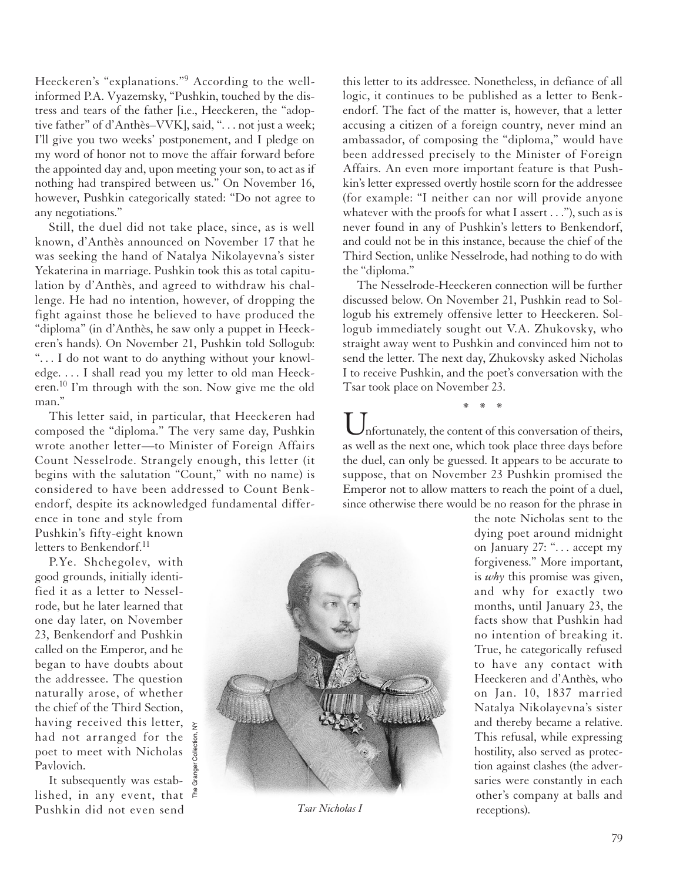Heeckeren's "explanations."<sup>9</sup> According to the wellinformed P.A. Vyazemsky, "Pushkin, touched by the distress and tears of the father [i.e., Heeckeren, the "adoptive father" of d'Anthès–VVK], said, ". . . not just a week; I'll give you two weeks' postponement, and I pledge on my word of honor not to move the affair forward before the appointed day and, upon meeting your son, to act as if nothing had transpired between us." On November 16, however, Pushkin categorically stated: "Do not agree to any negotiations."

Still, the duel did not take place, since, as is well known, d'Anthès announced on November 17 that he was seeking the hand of Natalya Nikolayevna's sister Yekaterina in marriage. Pushkin took this as total capitulation by d'Anthès, and agreed to withdraw his challenge. He had no intention, however, of dropping the fight against those he believed to have produced the "diploma" (in d'Anthès, he saw only a puppet in Heeckeren's hands). On November 21, Pushkin told Sollogub: ". . . I do not want to do anything without your knowledge. . . . I shall read you my letter to old man Heeckeren.10 I'm through with the son. Now give me the old man."

This letter said, in particular, that Heeckeren had composed the "diploma." The very same day, Pushkin wrote another letter—to Minister of Foreign Affairs Count Nesselrode. Strangely enough, this letter (it begins with the salutation "Count," with no name) is considered to have been addressed to Count Benkendorf, despite its acknowledged fundamental differ-

The Granger Collection, NY

ence in tone and style from Pushkin's fifty-eight known letters to Benkendorf.<sup>11</sup>

P.Ye. Shchegolev, with good grounds, initially identified it as a letter to Nesselrode, but he later learned that one day later, on November 23, Benkendorf and Pushkin called on the Emperor, and he began to have doubts about the addressee. The question naturally arose, of whether the chief of the Third Section, having received this letter,  $\geq$ had not arranged for the poet to meet with Nicholas Pavlovich.

It subsequently was established, in any event, that  $\frac{g}{r}$ Pushkin did not even send



this letter to its addressee. Nonetheless, in defiance of all logic, it continues to be published as a letter to Benkendorf. The fact of the matter is, however, that a letter accusing a citizen of a foreign country, never mind an ambassador, of composing the "diploma," would have been addressed precisely to the Minister of Foreign Affairs. An even more important feature is that Pushkin's letter expressed overtly hostile scorn for the addressee (for example: "I neither can nor will provide anyone whatever with the proofs for what I assert . . ."), such as is never found in any of Pushkin's letters to Benkendorf, and could not be in this instance, because the chief of the Third Section, unlike Nesselrode, had nothing to do with the "diploma."

The Nesselrode-Heeckeren connection will be further discussed below. On November 21, Pushkin read to Sollogub his extremely offensive letter to Heeckeren. Sollogub immediately sought out V.A. Zhukovsky, who straight away went to Pushkin and convinced him not to send the letter. The next day, Zhukovsky asked Nicholas I to receive Pushkin, and the poet's conversation with the Tsar took place on November 23.

nfortunately, the content of this conversation of theirs, as well as the next one, which took place three days before the duel, can only be guessed. It appears to be accurate to suppose, that on November 23 Pushkin promised the Emperor not to allow matters to reach the point of a duel, since otherwise there would be no reason for the phrase in

\*\*\*

the note Nicholas sent to the dying poet around midnight on January 27: ". . . accept my forgiveness." More important, is *why* this promise was given, and why for exactly two months, until January 23, the facts show that Pushkin had no intention of breaking it. True, he categorically refused to have any contact with Heeckeren and d'Anthès, who on Jan. 10, 1837 married Natalya Nikolayevna's sister and thereby became a relative. This refusal, while expressing hostility, also served as protection against clashes (the adversaries were constantly in each other's company at balls and *Tsar Nicholas I* receptions).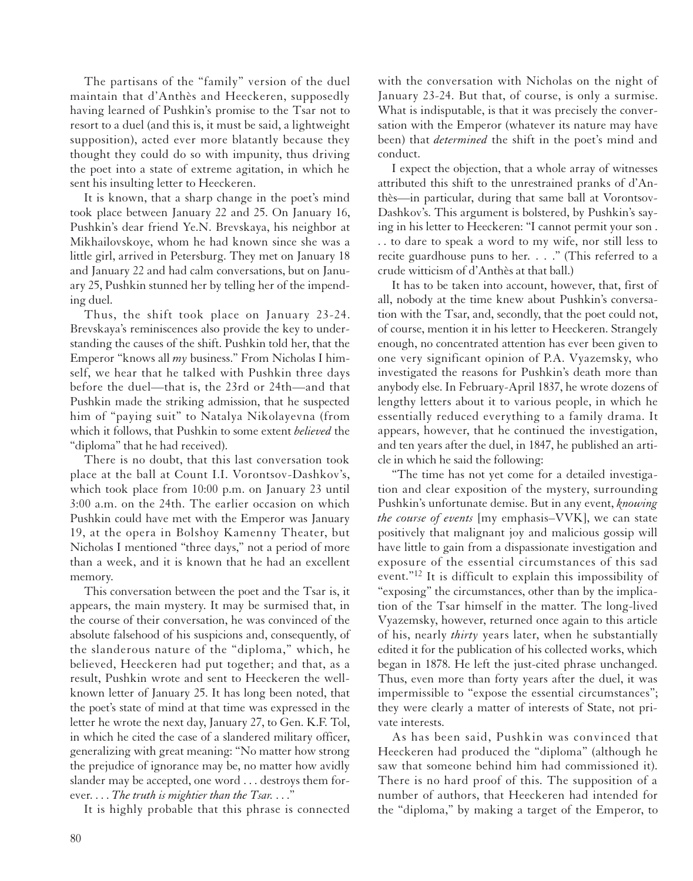The partisans of the "family" version of the duel maintain that d'Anthès and Heeckeren, supposedly having learned of Pushkin's promise to the Tsar not to resort to a duel (and this is, it must be said, a lightweight supposition), acted ever more blatantly because they thought they could do so with impunity, thus driving the poet into a state of extreme agitation, in which he sent his insulting letter to Heeckeren.

It is known, that a sharp change in the poet's mind took place between January 22 and 25. On January 16, Pushkin's dear friend Ye.N. Brevskaya, his neighbor at Mikhailovskoye, whom he had known since she was a little girl, arrived in Petersburg. They met on January 18 and January 22 and had calm conversations, but on January 25, Pushkin stunned her by telling her of the impending duel.

Thus, the shift took place on January 23-24. Brevskaya's reminiscences also provide the key to understanding the causes of the shift. Pushkin told her, that the Emperor "knows all *my* business." From Nicholas I himself, we hear that he talked with Pushkin three days before the duel—that is, the 23rd or 24th—and that Pushkin made the striking admission, that he suspected him of "paying suit" to Natalya Nikolayevna (from which it follows, that Pushkin to some extent *believed* the "diploma" that he had received).

There is no doubt, that this last conversation took place at the ball at Count I.I. Vorontsov-Dashkov's, which took place from 10:00 p.m. on January 23 until 3:00 a.m. on the 24th. The earlier occasion on which Pushkin could have met with the Emperor was January 19, at the opera in Bolshoy Kamenny Theater, but Nicholas I mentioned "three days," not a period of more than a week, and it is known that he had an excellent memory.

This conversation between the poet and the Tsar is, it appears, the main mystery. It may be surmised that, in the course of their conversation, he was convinced of the absolute falsehood of his suspicions and, consequently, of the slanderous nature of the "diploma," which, he believed, Heeckeren had put together; and that, as a result, Pushkin wrote and sent to Heeckeren the wellknown letter of January 25. It has long been noted, that the poet's state of mind at that time was expressed in the letter he wrote the next day, January 27, to Gen. K.F. Tol, in which he cited the case of a slandered military officer, generalizing with great meaning: "No matter how strong the prejudice of ignorance may be, no matter how avidly slander may be accepted, one word . . . destroys them forever. . . . *The truth is mightier than the Tsar.* . . ."

It is highly probable that this phrase is connected

with the conversation with Nicholas on the night of January 23-24. But that, of course, is only a surmise. What is indisputable, is that it was precisely the conversation with the Emperor (whatever its nature may have been) that *determined* the shift in the poet's mind and conduct.

I expect the objection, that a whole array of witnesses attributed this shift to the unrestrained pranks of d'Anthès—in particular, during that same ball at Vorontsov-Dashkov's. This argument is bolstered, by Pushkin's saying in his letter to Heeckeren: "I cannot permit your son . . . to dare to speak a word to my wife, nor still less to recite guardhouse puns to her. . . ." (This referred to a crude witticism of d'Anthès at that ball.)

It has to be taken into account, however, that, first of all, nobody at the time knew about Pushkin's conversation with the Tsar, and, secondly, that the poet could not, of course, mention it in his letter to Heeckeren. Strangely enough, no concentrated attention has ever been given to one very significant opinion of P.A. Vyazemsky, who investigated the reasons for Pushkin's death more than anybody else. In February-April 1837, he wrote dozens of lengthy letters about it to various people, in which he essentially reduced everything to a family drama. It appears, however, that he continued the investigation, and ten years after the duel, in 1847, he published an article in which he said the following:

"The time has not yet come for a detailed investigation and clear exposition of the mystery, surrounding Pushkin's unfortunate demise. But in any event, *knowing the course of events* [my emphasis–VVK], we can state positively that malignant joy and malicious gossip will have little to gain from a dispassionate investigation and exposure of the essential circumstances of this sad event."12 It is difficult to explain this impossibility of "exposing" the circumstances, other than by the implication of the Tsar himself in the matter. The long-lived Vyazemsky, however, returned once again to this article of his, nearly *thirty* years later, when he substantially edited it for the publication of his collected works, which began in 1878. He left the just-cited phrase unchanged. Thus, even more than forty years after the duel, it was impermissible to "expose the essential circumstances"; they were clearly a matter of interests of State, not private interests.

As has been said, Pushkin was convinced that Heeckeren had produced the "diploma" (although he saw that someone behind him had commissioned it). There is no hard proof of this. The supposition of a number of authors, that Heeckeren had intended for the "diploma," by making a target of the Emperor, to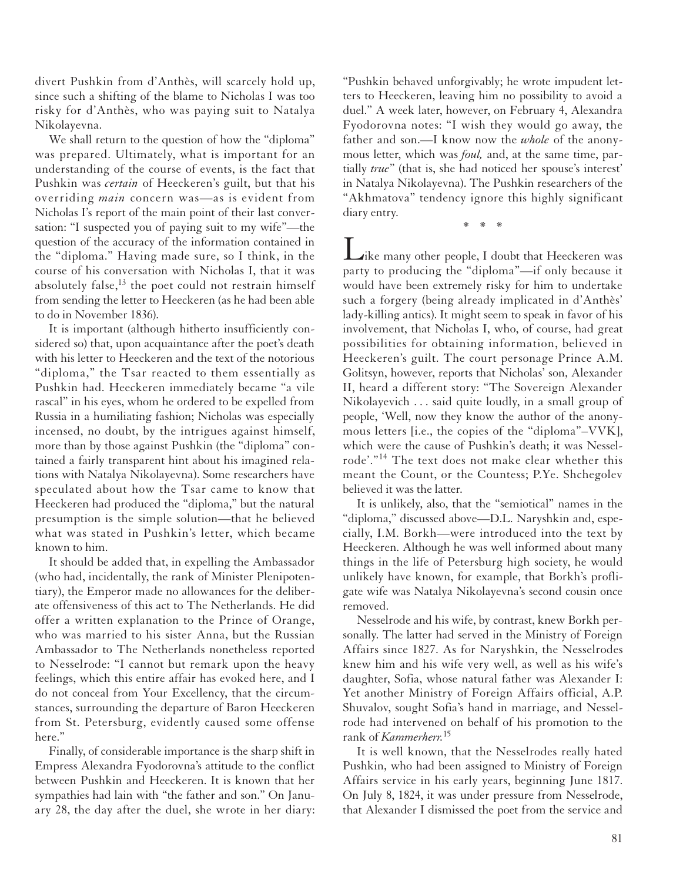divert Pushkin from d'Anthès, will scarcely hold up, since such a shifting of the blame to Nicholas I was too risky for d'Anthès, who was paying suit to Natalya Nikolayevna.

We shall return to the question of how the "diploma" was prepared. Ultimately, what is important for an understanding of the course of events, is the fact that Pushkin was *certain* of Heeckeren's guilt, but that his overriding *main* concern was—as is evident from Nicholas I's report of the main point of their last conversation: "I suspected you of paying suit to my wife"—the question of the accuracy of the information contained in the "diploma." Having made sure, so I think, in the course of his conversation with Nicholas I, that it was absolutely false, $^{13}$  the poet could not restrain himself from sending the letter to Heeckeren (as he had been able to do in November 1836).

It is important (although hitherto insufficiently considered so) that, upon acquaintance after the poet's death with his letter to Heeckeren and the text of the notorious "diploma," the Tsar reacted to them essentially as Pushkin had. Heeckeren immediately became "a vile rascal" in his eyes, whom he ordered to be expelled from Russia in a humiliating fashion; Nicholas was especially incensed, no doubt, by the intrigues against himself, more than by those against Pushkin (the "diploma" contained a fairly transparent hint about his imagined relations with Natalya Nikolayevna). Some researchers have speculated about how the Tsar came to know that Heeckeren had produced the "diploma," but the natural presumption is the simple solution—that he believed what was stated in Pushkin's letter, which became known to him.

It should be added that, in expelling the Ambassador (who had, incidentally, the rank of Minister Plenipotentiary), the Emperor made no allowances for the deliberate offensiveness of this act to The Netherlands. He did offer a written explanation to the Prince of Orange, who was married to his sister Anna, but the Russian Ambassador to The Netherlands nonetheless reported to Nesselrode: "I cannot but remark upon the heavy feelings, which this entire affair has evoked here, and I do not conceal from Your Excellency, that the circumstances, surrounding the departure of Baron Heeckeren from St. Petersburg, evidently caused some offense here."

Finally, of considerable importance is the sharp shift in Empress Alexandra Fyodorovna's attitude to the conflict between Pushkin and Heeckeren. It is known that her sympathies had lain with "the father and son." On January 28, the day after the duel, she wrote in her diary: "Pushkin behaved unforgivably; he wrote impudent letters to Heeckeren, leaving him no possibility to avoid a duel." A week later, however, on February 4, Alexandra Fyodorovna notes: "I wish they would go away, the father and son.—I know now the *whole* of the anonymous letter, which was *foul,* and, at the same time, partially *true*" (that is, she had noticed her spouse's interest' in Natalya Nikolayevna). The Pushkin researchers of the "Akhmatova" tendency ignore this highly significant diary entry.

\*\*\*

Like many other people, I doubt that Heeckeren was party to producing the "diploma"—if only because it would have been extremely risky for him to undertake such a forgery (being already implicated in d'Anthès' lady-killing antics). It might seem to speak in favor of his involvement, that Nicholas I, who, of course, had great possibilities for obtaining information, believed in Heeckeren's guilt. The court personage Prince A.M. Golitsyn, however, reports that Nicholas' son, Alexander II, heard a different story: "The Sovereign Alexander Nikolayevich . . . said quite loudly, in a small group of people, 'Well, now they know the author of the anonymous letters [i.e., the copies of the "diploma"–VVK], which were the cause of Pushkin's death; it was Nesselrode'."<sup>14</sup> The text does not make clear whether this meant the Count, or the Countess; P.Ye. Shchegolev believed it was the latter.

It is unlikely, also, that the "semiotical" names in the "diploma," discussed above—D.L. Naryshkin and, especially, I.M. Borkh—were introduced into the text by Heeckeren. Although he was well informed about many things in the life of Petersburg high society, he would unlikely have known, for example, that Borkh's profligate wife was Natalya Nikolayevna's second cousin once removed.

Nesselrode and his wife, by contrast, knew Borkh personally. The latter had served in the Ministry of Foreign Affairs since 1827. As for Naryshkin, the Nesselrodes knew him and his wife very well, as well as his wife's daughter, Sofia, whose natural father was Alexander I: Yet another Ministry of Foreign Affairs official, A.P. Shuvalov, sought Sofia's hand in marriage, and Nesselrode had intervened on behalf of his promotion to the rank of *Kammerherr.* 15

It is well known, that the Nesselrodes really hated Pushkin, who had been assigned to Ministry of Foreign Affairs service in his early years, beginning June 1817. On July 8, 1824, it was under pressure from Nesselrode, that Alexander I dismissed the poet from the service and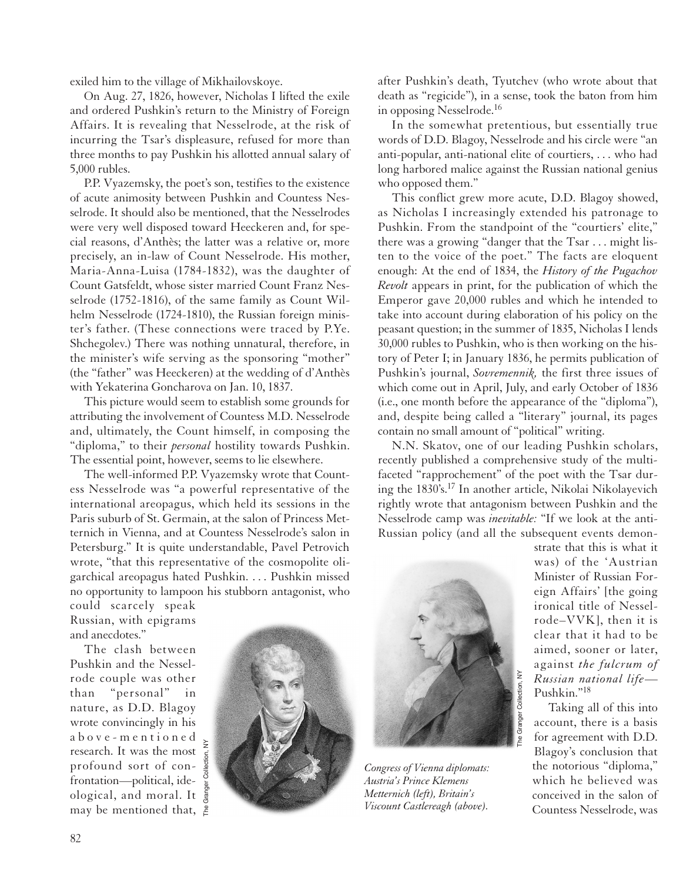exiled him to the village of Mikhailovskoye.

On Aug. 27, 1826, however, Nicholas I lifted the exile and ordered Pushkin's return to the Ministry of Foreign Affairs. It is revealing that Nesselrode, at the risk of incurring the Tsar's displeasure, refused for more than three months to pay Pushkin his allotted annual salary of 5,000 rubles.

P.P. Vyazemsky, the poet's son, testifies to the existence of acute animosity between Pushkin and Countess Nesselrode. It should also be mentioned, that the Nesselrodes were very well disposed toward Heeckeren and, for special reasons, d'Anthès; the latter was a relative or, more precisely, an in-law of Count Nesselrode. His mother, Maria-Anna-Luisa (1784-1832), was the daughter of Count Gatsfeldt, whose sister married Count Franz Nesselrode (1752-1816), of the same family as Count Wilhelm Nesselrode (1724-1810), the Russian foreign minister's father. (These connections were traced by P.Ye. Shchegolev.) There was nothing unnatural, therefore, in the minister's wife serving as the sponsoring "mother" (the "father" was Heeckeren) at the wedding of d'Anthès with Yekaterina Goncharova on Jan. 10, 1837.

This picture would seem to establish some grounds for attributing the involvement of Countess M.D. Nesselrode and, ultimately, the Count himself, in composing the "diploma," to their *personal* hostility towards Pushkin. The essential point, however, seems to lie elsewhere.

The well-informed P.P. Vyazemsky wrote that Countess Nesselrode was "a powerful representative of the international areopagus, which held its sessions in the Paris suburb of St. Germain, at the salon of Princess Metternich in Vienna, and at Countess Nesselrode's salon in Petersburg." It is quite understandable, Pavel Petrovich wrote, "that this representative of the cosmopolite oligarchical areopagus hated Pushkin. . . . Pushkin missed no opportunity to lampoon his stubborn antagonist, who after Pushkin's death, Tyutchev (who wrote about that death as "regicide"), in a sense, took the baton from him in opposing Nesselrode.<sup>16</sup>

In the somewhat pretentious, but essentially true words of D.D. Blagoy, Nesselrode and his circle were "an anti-popular, anti-national elite of courtiers, . . . who had long harbored malice against the Russian national genius who opposed them."

This conflict grew more acute, D.D. Blagoy showed, as Nicholas I increasingly extended his patronage to Pushkin. From the standpoint of the "courtiers' elite," there was a growing "danger that the Tsar . . . might listen to the voice of the poet." The facts are eloquent enough: At the end of 1834, the *History of the Pugachov Revolt* appears in print, for the publication of which the Emperor gave 20,000 rubles and which he intended to take into account during elaboration of his policy on the peasant question; in the summer of 1835, Nicholas I lends 30,000 rubles to Pushkin, who is then working on the history of Peter I; in January 1836, he permits publication of Pushkin's journal, *Sovremennik,* the first three issues of which come out in April, July, and early October of 1836 (i.e., one month before the appearance of the "diploma"), and, despite being called a "literary" journal, its pages contain no small amount of "political" writing.

N.N. Skatov, one of our leading Pushkin scholars, recently published a comprehensive study of the multifaceted "rapprochement" of the poet with the Tsar during the 1830's.17 In another article, Nikolai Nikolayevich rightly wrote that antagonism between Pushkin and the Nesselrode camp was *inevitable:* "If we look at the anti-Russian policy (and all the subsequent events demon-

could scarcely speak Russian, with epigrams and anecdotes."

The clash between Pushkin and the Nesselrode couple was other than "personal" in nature, as D.D. Blagoy wrote convincingly in his above-mentioned research. It was the most profound sort of confrontation—political, ideological, and moral. It may be mentioned that,





*Congress of Vienna diplomats: Austria's Prince Klemens Metternich (left), Britain's Viscount Castlereagh (above).*

strate that this is what it was) of the 'Austrian Minister of Russian Foreign Affairs' [the going ironical title of Nesselrode–VVK], then it is clear that it had to be aimed, sooner or later, against *the fulcrum of Russian national life*— Pushkin."18

Taking all of this into account, there is a basis for agreement with D.D. Blagoy's conclusion that the notorious "diploma," which he believed was conceived in the salon of Countess Nesselrode, was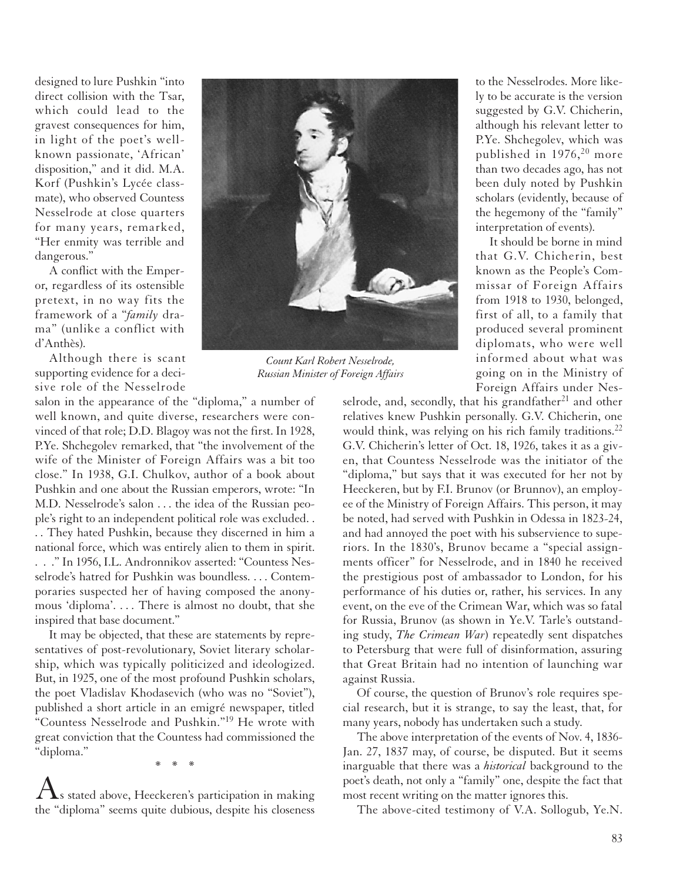designed to lure Pushkin "into direct collision with the Tsar, which could lead to the gravest consequences for him, in light of the poet's wellknown passionate, 'African' disposition," and it did. M.A. Korf (Pushkin's Lycée classmate), who observed Countess Nesselrode at close quarters for many years, remarked, "Her enmity was terrible and dangerous."

A conflict with the Emperor, regardless of its ostensible pretext, in no way fits the framework of a "*family* drama" (unlike a conflict with d'Anthès).

Although there is scant supporting evidence for a decisive role of the Nesselrode

salon in the appearance of the "diploma," a number of well known, and quite diverse, researchers were convinced of that role; D.D. Blagoy was not the first. In 1928, P.Ye. Shchegolev remarked, that "the involvement of the wife of the Minister of Foreign Affairs was a bit too close." In 1938, G.I. Chulkov, author of a book about Pushkin and one about the Russian emperors, wrote: "In M.D. Nesselrode's salon . . . the idea of the Russian people's right to an independent political role was excluded. . . . They hated Pushkin, because they discerned in him a national force, which was entirely alien to them in spirit. . . ." In 1956, I.L. Andronnikov asserted: "Countess Nesselrode's hatred for Pushkin was boundless. . . . Contemporaries suspected her of having composed the anonymous 'diploma'. . . . There is almost no doubt, that she inspired that base document."

It may be objected, that these are statements by representatives of post-revolutionary, Soviet literary scholarship, which was typically politicized and ideologized. But, in 1925, one of the most profound Pushkin scholars, the poet Vladislav Khodasevich (who was no "Soviet"), published a short article in an emigré newspaper, titled "Countess Nesselrode and Pushkin."19 He wrote with great conviction that the Countess had commissioned the "diploma."

\*\*\*

 $\Lambda$ s stated above, Heeckeren's participation in making the "diploma" seems quite dubious, despite his closeness

to the Nesselrodes. More likely to be accurate is the version suggested by G.V. Chicherin, although his relevant letter to P.Ye. Shchegolev, which was published in  $1976$ ,<sup>20</sup> more than two decades ago, has not been duly noted by Pushkin scholars (evidently, because of the hegemony of the "family" interpretation of events).

It should be borne in mind that G.V. Chicherin, best known as the People's Commissar of Foreign Affairs from 1918 to 1930, belonged, first of all, to a family that produced several prominent diplomats, who were well informed about what was going on in the Ministry of Foreign Affairs under Nes-

selrode, and, secondly, that his grandfather<sup>21</sup> and other relatives knew Pushkin personally. G.V. Chicherin, one would think, was relying on his rich family traditions.<sup>22</sup> G.V. Chicherin's letter of Oct. 18, 1926, takes it as a given, that Countess Nesselrode was the initiator of the "diploma," but says that it was executed for her not by Heeckeren, but by F.I. Brunov (or Brunnov), an employee of the Ministry of Foreign Affairs. This person, it may be noted, had served with Pushkin in Odessa in 1823-24, and had annoyed the poet with his subservience to superiors. In the 1830's, Brunov became a "special assignments officer" for Nesselrode, and in 1840 he received the prestigious post of ambassador to London, for his performance of his duties or, rather, his services. In any event, on the eve of the Crimean War, which was so fatal for Russia, Brunov (as shown in Ye.V. Tarle's outstanding study, *The Crimean War*) repeatedly sent dispatches to Petersburg that were full of disinformation, assuring that Great Britain had no intention of launching war against Russia.

Of course, the question of Brunov's role requires special research, but it is strange, to say the least, that, for many years, nobody has undertaken such a study.

The above interpretation of the events of Nov. 4, 1836- Jan. 27, 1837 may, of course, be disputed. But it seems inarguable that there was a *historical* background to the poet's death, not only a "family" one, despite the fact that most recent writing on the matter ignores this.

The above-cited testimony of V.A. Sollogub, Ye.N.



*Count Karl Robert Nesselrode, Russian Minister of Foreign Affairs*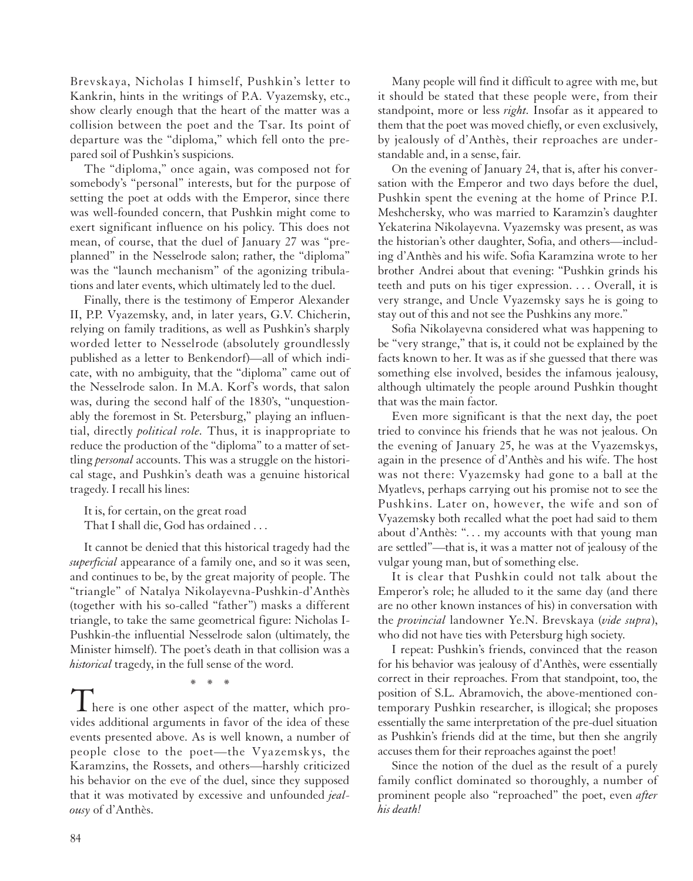Brevskaya, Nicholas I himself, Pushkin's letter to Kankrin, hints in the writings of P.A. Vyazemsky, etc., show clearly enough that the heart of the matter was a collision between the poet and the Tsar. Its point of departure was the "diploma," which fell onto the prepared soil of Pushkin's suspicions.

The "diploma," once again, was composed not for somebody's "personal" interests, but for the purpose of setting the poet at odds with the Emperor, since there was well-founded concern, that Pushkin might come to exert significant influence on his policy. This does not mean, of course, that the duel of January 27 was "preplanned" in the Nesselrode salon; rather, the "diploma" was the "launch mechanism" of the agonizing tribulations and later events, which ultimately led to the duel.

Finally, there is the testimony of Emperor Alexander II, P.P. Vyazemsky, and, in later years, G.V. Chicherin, relying on family traditions, as well as Pushkin's sharply worded letter to Nesselrode (absolutely groundlessly published as a letter to Benkendorf)—all of which indicate, with no ambiguity, that the "diploma" came out of the Nesselrode salon. In M.A. Korf's words, that salon was, during the second half of the 1830's, "unquestionably the foremost in St. Petersburg," playing an influential, directly *political role.* Thus, it is inappropriate to reduce the production of the "diploma" to a matter of settling *personal* accounts. This was a struggle on the historical stage, and Pushkin's death was a genuine historical tragedy. I recall his lines:

It is, for certain, on the great road That I shall die, God has ordained . . .

It cannot be denied that this historical tragedy had the *superficial* appearance of a family one, and so it was seen, and continues to be, by the great majority of people. The "triangle" of Natalya Nikolayevna-Pushkin-d'Anthès (together with his so-called "father") masks a different triangle, to take the same geometrical figure: Nicholas I-Pushkin-the influential Nesselrode salon (ultimately, the Minister himself). The poet's death in that collision was a *historical* tragedy, in the full sense of the word.

 $\mathbf 1$  here is one other aspect of the matter, which provides additional arguments in favor of the idea of these events presented above. As is well known, a number of people close to the poet—the Vyazemskys, the Karamzins, the Rossets, and others—harshly criticized his behavior on the eve of the duel, since they supposed that it was motivated by excessive and unfounded *jealousy* of d'Anthès.

\*\*\*

Many people will find it difficult to agree with me, but it should be stated that these people were, from their standpoint, more or less *right.* Insofar as it appeared to them that the poet was moved chiefly, or even exclusively, by jealously of d'Anthès, their reproaches are understandable and, in a sense, fair.

On the evening of January 24, that is, after his conversation with the Emperor and two days before the duel, Pushkin spent the evening at the home of Prince P.I. Meshchersky, who was married to Karamzin's daughter Yekaterina Nikolayevna. Vyazemsky was present, as was the historian's other daughter, Sofia, and others—including d'Anthès and his wife. Sofia Karamzina wrote to her brother Andrei about that evening: "Pushkin grinds his teeth and puts on his tiger expression. . . . Overall, it is very strange, and Uncle Vyazemsky says he is going to stay out of this and not see the Pushkins any more."

Sofia Nikolayevna considered what was happening to be "very strange," that is, it could not be explained by the facts known to her. It was as if she guessed that there was something else involved, besides the infamous jealousy, although ultimately the people around Pushkin thought that was the main factor.

Even more significant is that the next day, the poet tried to convince his friends that he was not jealous. On the evening of January 25, he was at the Vyazemskys, again in the presence of d'Anthès and his wife. The host was not there: Vyazemsky had gone to a ball at the Myatlevs, perhaps carrying out his promise not to see the Pushkins. Later on, however, the wife and son of Vyazemsky both recalled what the poet had said to them about d'Anthès: "... my accounts with that young man are settled"—that is, it was a matter not of jealousy of the vulgar young man, but of something else.

It is clear that Pushkin could not talk about the Emperor's role; he alluded to it the same day (and there are no other known instances of his) in conversation with the *provincial* landowner Ye.N. Brevskaya (*vide supra*), who did not have ties with Petersburg high society.

I repeat: Pushkin's friends, convinced that the reason for his behavior was jealousy of d'Anthès, were essentially correct in their reproaches. From that standpoint, too, the position of S.L. Abramovich, the above-mentioned contemporary Pushkin researcher, is illogical; she proposes essentially the same interpretation of the pre-duel situation as Pushkin's friends did at the time, but then she angrily accuses them for their reproaches against the poet!

Since the notion of the duel as the result of a purely family conflict dominated so thoroughly, a number of prominent people also "reproached" the poet, even *after his death!*